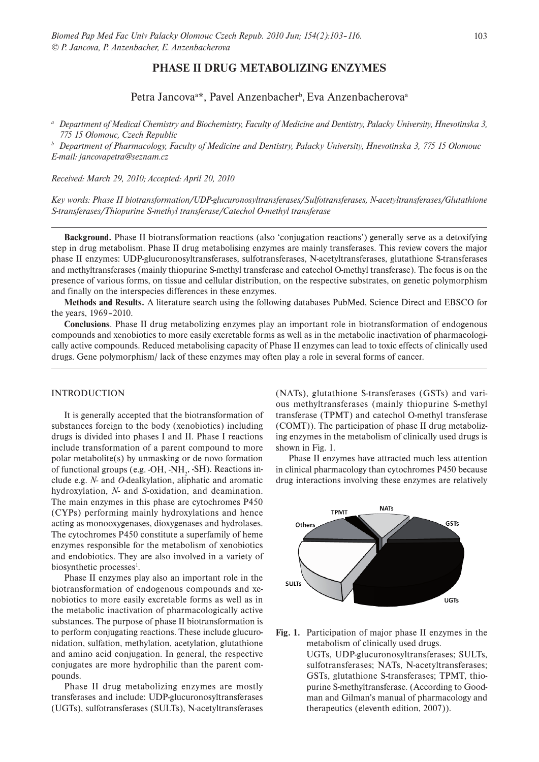# **PHASE II DRUG METABOLIZING ENZYMES**

# Petra Jancova<sup>a\*</sup>, Pavel Anzenbacher<sup>b</sup>, Eva Anzenbacherova<sup>a</sup>

*a Department of Medical Chemistry and Biochemistry, Faculty of Medicine and Dentistry, Palacky University, Hnevotinska 3, 775 15 Olomouc, Czech Republic*

*b Department of Pharmacology, Faculty of Medicine and Dentistry, Palacky University, Hnevotinska 3, 775 15 Olomouc E-mail: jancovapetra@seznam.cz*

*Received: March 29, 2010; Accepted: April 20, 2010*

*Key words: Phase II biotransformation/UDP-glucuronosyltransferases/Sulfotransferases, N-acetyltransferases/Glutathione S-transferases/Thiopurine S-methyl transferase/Catechol O-methyl transferase* 

**Background.** Phase II biotransformation reactions (also 'conjugation reactions') generally serve as a detoxifying step in drug metabolism. Phase II drug metabolising enzymes are mainly transferases. This review covers the major phase II enzymes: UDP-glucuronosyltransferases, sulfotransferases, N-acetyltransferases, glutathione S-transferases and methyltransferases (mainly thiopurine S-methyl transferase and catechol O-methyl transferase). The focus is on the presence of various forms, on tissue and cellular distribution, on the respective substrates, on genetic polymorphism and finally on the interspecies differences in these enzymes.

**Methods and Results.** A literature search using the following databases PubMed, Science Direct and EBSCO for the years, 1969–2010.

**Conclusions**. Phase II drug metabolizing enzymes play an important role in biotransformation of endogenous compounds and xenobiotics to more easily excretable forms as well as in the metabolic inactivation of pharmacologically active compounds. Reduced metabolising capacity of Phase II enzymes can lead to toxic effects of clinically used drugs. Gene polymorphism/ lack of these enzymes may often play a role in several forms of cancer.

# INTRODUCTION

It is generally accepted that the biotransformation of substances foreign to the body (xenobiotics) including drugs is divided into phases I and II. Phase I reactions include transformation of a parent compound to more polar metabolite(s) by unmasking or de novo formation of functional groups (e.g. -OH, -NH<sub>2</sub>, -SH). Reactions include e.g. *N-* and *O-*dealkylation, aliphatic and aromatic hydroxylation, *N-* and *S-*oxidation, and deamination. The main enzymes in this phase are cytochromes P450 (CYPs) performing mainly hydroxylations and hence acting as monooxygenases, dioxygenases and hydrolases. The cytochromes P450 constitute a superfamily of heme enzymes responsible for the metabolism of xenobiotics and endobiotics. They are also involved in a variety of biosynthetic processes<sup>1</sup>.

Phase II enzymes play also an important role in the biotransformation of endogenous compounds and xenobiotics to more easily excretable forms as well as in the metabolic inactivation of pharmacologically active substances. The purpose of phase II biotransformation is to perform conjugating reactions. These include glucuronidation, sulfation, methylation, acetylation, glutathione and amino acid conjugation. In general, the respective conjugates are more hydrophilic than the parent compounds.

Phase II drug metabolizing enzymes are mostly transferases and include: UDP-glucuronosyltransferases (UGTs), sulfotransferases (SULTs), N-acetyltransferases (NATs), glutathione S-transferases (GSTs) and various methyltransferases (mainly thiopurine S-methyl transferase (TPMT) and catechol O-methyl transferase (COMT)). The participation of phase II drug metabolizing enzymes in the metabolism of clinically used drugs is shown in Fig. 1.

Phase II enzymes have attracted much less attention in clinical pharmacology than cytochromes P450 because drug interactions involving these enzymes are relatively



**Fig. 1.** Participation of major phase II enzymes in the metabolism of clinically used drugs. UGTs, UDP-glucuronosyltransferases; SULTs, sulfotransferases; NATs, N-acetyltransferases; GSTs, glutathione S-transferases; TPMT, thiopurine S-methyltransferase. (According to Goodman and Gilman's manual of pharmacology and therapeutics (eleventh edition, 2007)).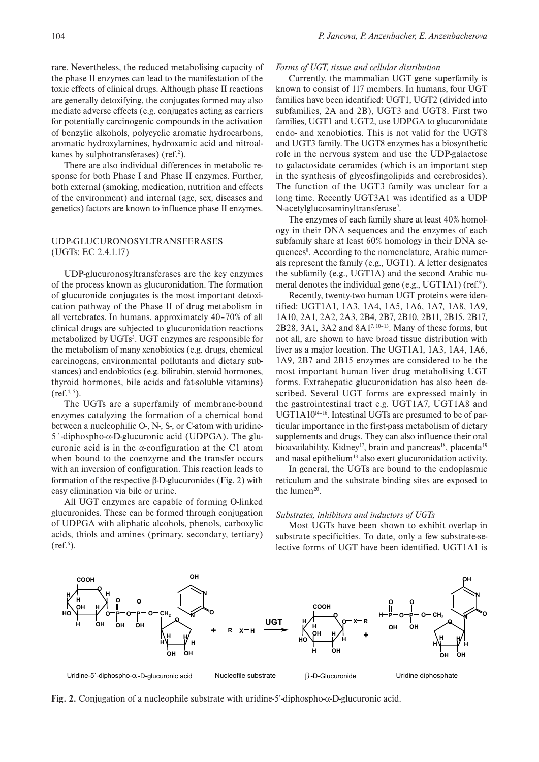rare. Nevertheless, the reduced metabolising capacity of the phase II enzymes can lead to the manifestation of the toxic effects of clinical drugs. Although phase II reactions are generally detoxifying, the conjugates formed may also mediate adverse effects (e.g. conjugates acting as carriers for potentially carcinogenic compounds in the activation of benzylic alkohols, polycyclic aromatic hydrocarbons, aromatic hydroxylamines, hydroxamic acid and nitroalkanes by sulphotransferases) (ref.<sup>2</sup>).

There are also individual differences in metabolic response for both Phase I and Phase II enzymes. Further, both external (smoking, medication, nutrition and effects of the environment) and internal (age, sex, diseases and genetics) factors are known to influence phase II enzymes.

# UDP-GLUCURONOSYLTRANSFERASES (UGTs; EC 2.4.1.17)

UDP-glucuronosyltransferases are the key enzymes of the process known as glucuronidation. The formation of glucuronide conjugates is the most important detoxication pathway of the Phase II of drug metabolism in all vertebrates. In humans, approximately 40–70% of all clinical drugs are subjected to glucuronidation reactions metabolized by UGTs<sup>3</sup>. UGT enzymes are responsible for the metabolism of many xenobiotics (e.g. drugs, chemical carcinogens, environmental pollutants and dietary substances) and endobiotics (e.g. bilirubin, steroid hormones, thyroid hormones, bile acids and fat-soluble vitamins)  $(ref.<sup>4, 5</sup>).$ 

The UGTs are a superfamily of membrane-bound enzymes catalyzing the formation of a chemical bond between a nucleophilic O-, N-, S-, or C-atom with uridine-5´-diphospho-α-D-glucuronic acid (UDPGA). The glucuronic acid is in the  $\alpha$ -configuration at the C1 atom when bound to the coenzyme and the transfer occurs with an inversion of configuration. This reaction leads to formation of the respective β-D-glucuronides (Fig. 2) with easy elimination via bile or urine.

All UGT enzymes are capable of forming O-linked glucuronides. These can be formed through conjugation of UDPGA with aliphatic alcohols, phenols, carboxylic acids, thiols and amines (primary, secondary, tertiary)  $(ref.<sup>6</sup>)$ .

#### *Forms of UGT, tissue and cellular distribution*

Currently, the mammalian UGT gene superfamily is known to consist of 117 members. In humans, four UGT families have been identified: UGT1, UGT2 (divided into subfamilies, 2A and 2B), UGT3 and UGT8. First two families, UGT1 and UGT2, use UDPGA to glucuronidate endo- and xenobiotics. This is not valid for the UGT8 and UGT3 family. The UGT8 enzymes has a biosynthetic role in the nervous system and use the UDP-galactose to galactosidate ceramides (which is an important step in the synthesis of glycosfingolipids and cerebrosides). The function of the UGT3 family was unclear for a long time. Recently UGT3A1 was identified as a UDP N-acetylglucosaminyltransferase<sup>7</sup>.

The enzymes of each family share at least 40% homology in their DNA sequences and the enzymes of each subfamily share at least 60% homology in their DNA sequences<sup>8</sup>. According to the nomenclature, Arabic numerals represent the family (e.g., UGT1). A letter designates the subfamily (e.g., UGT1A) and the second Arabic numeral denotes the individual gene (e.g., UGT1A1) (ref.<sup>9</sup>).

Recently, twenty-two human UGT proteins were identified: UGT1A1, 1A3, 1A4, 1A5, 1A6, 1A7, 1A8, 1A9, 1A10, 2A1, 2A2, 2A3, 2B4, 2B7, 2B10, 2B11, 2B15, 2B17, 2B28, 3A1, 3A2 and 8A17, 10–13. Many of these forms, but not all, are shown to have broad tissue distribution with liver as a major location. The UGT1A1, 1A3, 1A4, 1A6, 1A9, 2B7 and 2B15 enzymes are considered to be the most important human liver drug metabolising UGT forms. Extrahepatic glucuronidation has also been described. Several UGT forms are expressed mainly in the gastrointestinal tract e.g. UGT1A7, UGT1A8 and UGT1A10<sup>14-16</sup>. Intestinal UGTs are presumed to be of particular importance in the first-pass metabolism of dietary supplements and drugs. They can also influence their oral bioavailability. Kidney<sup>17</sup>, brain and pancreas<sup>18</sup>, placenta<sup>19</sup> and nasal epithelium<sup>13</sup> also exert glucuronidation activity.

In general, the UGTs are bound to the endoplasmic reticulum and the substrate binding sites are exposed to the lumen<sup>20</sup>.

#### *Substrates, inhibitors and inductors of UGTs*

Most UGTs have been shown to exhibit overlap in substrate specificities. To date, only a few substrate-selective forms of UGT have been identified. UGT1A1 is



**Fig. 2.** Conjugation of a nucleophile substrate with uridine-5'-diphospho-α-D-glucuronic acid.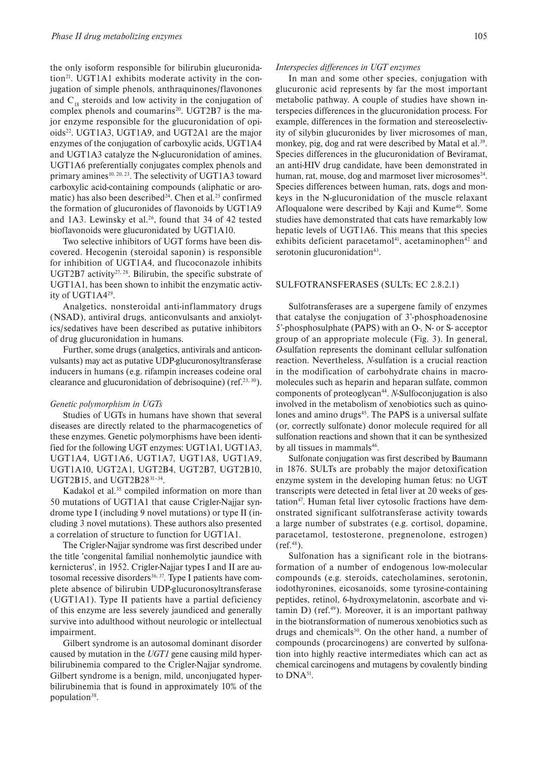the only isoform responsible for bilirubin glucuronidation<sup>21</sup>. UGT1A1 exhibits moderate activity in the conjugation of simple phenols, anthraquinones/flavonones and  $C_{18}$  steroids and low activity in the conjugation of complex phenols and coumarins<sup>20</sup>. UGT2B7 is the major enzyme responsible for the glucuronidation of opioids<sup>22</sup>. UGT1A3, UGT1A9, and UGT2A1 are the major enzymes of the conjugation of carboxylic acids, UGT1A4 and UGT1A3 catalyze the N-glucuronidation of amines. UGT1A6 preferentially conjugates complex phenols and primary amines<sup>10, 20, 23</sup>. The selectivity of UGT1A3 toward carboxylic acid-containing compounds (aliphatic or aromatic) has also been described<sup>24</sup>. Chen et al.<sup>25</sup> confirmed the formation of glucuronides of flavonoids by UGT1A9 and  $1A3$ . Lewinsky et al.<sup>26</sup>, found that 34 of 42 tested bioflavonoids were glucuronidated by UGT1A10.

Two selective inhibitors of UGT forms have been discovered. Hecogenin (steroidal saponin) is responsible for inhibition of UGT1A4, and flucoconazole inhibits UGT2B7 activity<sup>27, 28</sup>. Bilirubin, the specific substrate of UGT1A1, has been shown to inhibit the enzymatic activity of UGT1A429.

Analgetics, nonsteroidal anti-inflammatory drugs (NSAD), antiviral drugs, anticonvulsants and anxiolytics/sedatives have been described as putative inhibitors of drug glucuronidation in humans.

Further, some drugs (analgetics, antivirals and anticonvulsants) may act as putative UDP-glucuronosyltransferase inducers in humans (e.g. rifampin increases codeine oral clearance and glucuronidation of debrisoquine) (ref.<sup>23, 30</sup>).

### *Genetic polymorphism in UGTs*

Studies of UGTs in humans have shown that several diseases are directly related to the pharmacogenetics of these enzymes. Genetic polymorphisms have been identified for the following UGT enzymes: UGT1A1, UGT1A3, UGT1A4, UGT1A6, UGT1A7, UGT1A8, UGT1A9, UGT1A10, UGT2A1, UGT2B4, UGT2B7, UGT2B10, UGT2B15, and UGT2B28<sup>31-34</sup>.

Kadakol et al. $35$  compiled information on more than 50 mutations of UGT1A1 that cause Crigler-Najjar syndrome type I (including 9 novel mutations) or type II (including 3 novel mutations). These authors also presented a correlation of structure to function for UGT1A1.

The Crigler-Najjar syndrome was first described under the title 'congenital familial nonhemolytic jaundice with kernicterus', in 1952. Crigler-Najjar types I and II are autosomal recessive disorders $36, 37$ . Type I patients have complete absence of bilirubin UDP-glucuronosyltransferase (UGT1A1). Type II patients have a partial deficiency of this enzyme are less severely jaundiced and generally survive into adulthood without neurologic or intellectual impairment.

Gilbert syndrome is an autosomal dominant disorder caused by mutation in the *UGT1* gene causing mild hyperbilirubinemia compared to the Crigler-Najjar syndrome. Gilbert syndrome is a benign, mild, unconjugated hyperbilirubinemia that is found in approximately 10% of the population<sup>38</sup>.

## *Interspecies differences in UGT enzymes*

In man and some other species, conjugation with glucuronic acid represents by far the most important metabolic pathway. A couple of studies have shown interspecies differences in the glucuronidation process. For example, differences in the formation and stereoselectivity of silybin glucuronides by liver microsomes of man, monkey, pig, dog and rat were described by Matal et al.<sup>39</sup>. Species differences in the glucuronidation of Beviramat, an anti-HIV drug candidate, have been demonstrated in human, rat, mouse, dog and marmoset liver microsomes<sup>24</sup>. Species differences between human, rats, dogs and monkeys in the N-glucuronidation of the muscle relaxant Afloqualone were described by Kaji and Kume<sup>40</sup>. Some studies have demonstrated that cats have remarkably low hepatic levels of UGT1A6. This means that this species exhibits deficient paracetamol<sup>41</sup>, acetaminophen<sup>42</sup> and serotonin glucuronidation<sup>43</sup>.

# SULFOTRANSFERASES (SULTs; EC 2.8.2.1)

Sulfotransferases are a supergene family of enzymes that catalyse the conjugation of 3'-phosphoadenosine 5'-phosphosulphate (PAPS) with an O-, N- or S- acceptor group of an appropriate molecule (Fig. 3). In general, *O*-sulfation represents the dominant cellular sulfonation reaction. Nevertheless, *N*-sulfation is a crucial reaction in the modification of carbohydrate chains in macromolecules such as heparin and heparan sulfate, common components of proteoglycan44. *N*-Sulfoconjugation is also involved in the metabolism of xenobiotics such as quinolones and amino drugs<sup>45</sup>. The PAPS is a universal sulfate (or, correctly sulfonate) donor molecule required for all sulfonation reactions and shown that it can be synthesized by all tissues in mammals<sup>46</sup>.

Sulfonate conjugation was first described by Baumann in 1876. SULTs are probably the major detoxification enzyme system in the developing human fetus: no UGT transcripts were detected in fetal liver at 20 weeks of gestation<sup>47</sup>. Human fetal liver cytosolic fractions have demonstrated significant sulfotransferase activity towards a large number of substrates (e.g. cortisol, dopamine, paracetamol, testosterone, pregnenolone, estrogen)  $(ref.<sup>48</sup>)$ .

Sulfonation has a significant role in the biotransformation of a number of endogenous low-molecular compounds (e.g. steroids, catecholamines, serotonin, iodothyronines, eicosanoids, some tyrosine-containing peptides, retinol, 6-hydroxymelatonin, ascorbate and vitamin D) (ref. $49$ ). Moreover, it is an important pathway in the biotransformation of numerous xenobiotics such as drugs and chemicals<sup>50</sup>. On the other hand, a number of compounds (procarcinogens) are converted by sulfonation into highly reactive intermediates which can act as chemical carcinogens and mutagens by covalently binding to DNA<sup>51</sup>.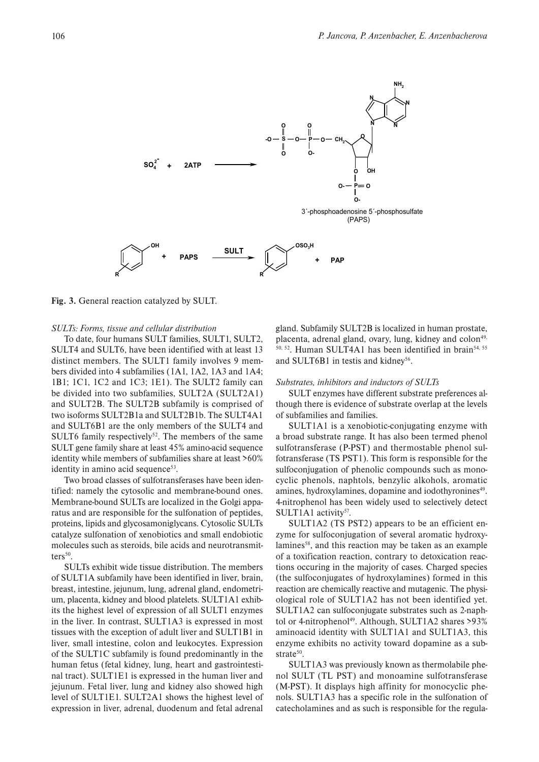

**Fig. 3.** General reaction catalyzed by SULT.

### *SULTs: Forms, tissue and cellular distribution*

To date, four humans SULT families, SULT1, SULT2, SULT4 and SULT6, have been identified with at least 13 distinct members. The SULT1 family involves 9 members divided into 4 subfamilies (1A1, 1A2, 1A3 and 1A4; 1B1; 1C1, 1C2 and 1C3; 1E1). The SULT2 family can be divided into two subfamilies, SULT2A (SULT2A1) and SULT2B. The SULT2B subfamily is comprised of two isoforms SULT2B1a and SULT2B1b. The SULT4A1 and SULT6B1 are the only members of the SULT4 and SULT6 family respectively<sup>52</sup>. The members of the same SULT gene family share at least 45% amino-acid sequence identity while members of subfamilies share at least >60% identity in amino acid sequence $53$ .

Two broad classes of sulfotransferases have been identified: namely the cytosolic and membrane-bound ones. Membrane-bound SULTs are localized in the Golgi apparatus and are responsible for the sulfonation of peptides, proteins, lipids and glycosamoniglycans. Cytosolic SULTs catalyze sulfonation of xenobiotics and small endobiotic molecules such as steroids, bile acids and neurotransmit $ters<sup>50</sup>$ .

SULTs exhibit wide tissue distribution. The members of SULT1A subfamily have been identified in liver, brain, breast, intestine, jejunum, lung, adrenal gland, endometrium, placenta, kidney and blood platelets. SULT1A1 exhibits the highest level of expression of all SULT1 enzymes in the liver. In contrast, SULT1A3 is expressed in most tissues with the exception of adult liver and SULT1B1 in liver, small intestine, colon and leukocytes. Expression of the SULT1C subfamily is found predominantly in the human fetus (fetal kidney, lung, heart and gastrointestinal tract). SULT1E1 is expressed in the human liver and jejunum. Fetal liver, lung and kidney also showed high level of SULT1E1. SULT2A1 shows the highest level of expression in liver, adrenal, duodenum and fetal adrenal gland. Subfamily SULT2B is localized in human prostate, placenta, adrenal gland, ovary, lung, kidney and colon<sup>49,</sup> 50, 52. Human SULT4A1 has been identified in brain54, 55 and SULT6B1 in testis and kidney<sup>56</sup>.

# *Substrates, inhibitors and inductors of SULTs*

SULT enzymes have different substrate preferences although there is evidence of substrate overlap at the levels of subfamilies and families.

SULT1A1 is a xenobiotic-conjugating enzyme with a broad substrate range. It has also been termed phenol sulfotransferase (P-PST) and thermostable phenol sulfotransferase (TS PST1). This form is responsible for the sulfoconjugation of phenolic compounds such as monocyclic phenols, naphtols, benzylic alkohols, aromatic amines, hydroxylamines, dopamine and iodothyronines<sup>49</sup>. 4-nitrophenol has been widely used to selectively detect SULT1A1 activity $57$ .

SULT1A2 (TS PST2) appears to be an efficient enzyme for sulfoconjugation of several aromatic hydroxylamines<sup>58</sup>, and this reaction may be taken as an example of a toxification reaction, contrary to detoxication reactions occuring in the majority of cases. Charged species (the sulfoconjugates of hydroxylamines) formed in this reaction are chemically reactive and mutagenic. The physiological role of SULT1A2 has not been identified yet. SULT1A2 can sulfoconjugate substrates such as 2-naphtol or 4-nitrophenol<sup>49</sup>. Although, SULT1A2 shares  $>93\%$ aminoacid identity with SULT1A1 and SULT1A3, this enzyme exhibits no activity toward dopamine as a substrate $50$ .

SULT1A3 was previously known as thermolabile phenol SULT (TL PST) and monoamine sulfotransferase (M-PST). It displays high affinity for monocyclic phenols. SULT1A3 has a specific role in the sulfonation of catecholamines and as such is responsible for the regula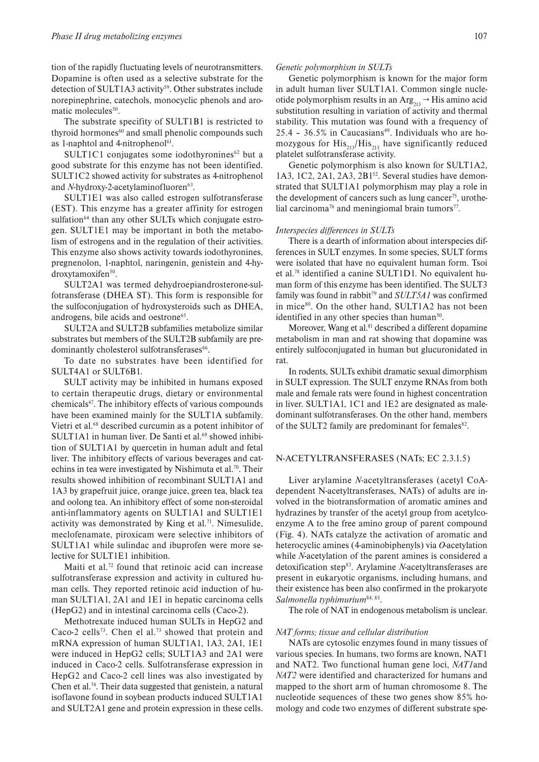tion of the rapidly fluctuating levels of neurotransmitters. Dopamine is often used as a selective substrate for the detection of SULT1A3 activity<sup>59</sup>. Other substrates include norepinephrine, catechols, monocyclic phenols and aromatic molecules<sup>50</sup>.

The substrate specifity of SULT1B1 is restricted to thyroid hormones<sup>60</sup> and small phenolic compounds such as 1-naphtol and 4-nitrophenol<sup>61</sup>.

SULT1C1 conjugates some iodothyronines $62$  but a good substrate for this enzyme has not been identified. SULT1C2 showed activity for substrates as 4-nitrophenol and *N*-hydroxy-2-acetylaminofluoren<sup>63</sup>.

SULT1E1 was also called estrogen sulfotransferase (EST). This enzyme has a greater affinity for estrogen sulfation<sup>64</sup> than any other SULTs which conjugate estrogen. SULT1E1 may be important in both the metabolism of estrogens and in the regulation of their activities. This enzyme also shows activity towards iodothyronines, pregnenolon, 1-naphtol, naringenin, genistein and 4-hydroxytamoxifen<sup>50</sup>.

SULT2A1 was termed dehydroepiandrosterone-sulfotransferase (DHEA ST). This form is responsible for the sulfoconjugation of hydroxysteroids such as DHEA, androgens, bile acids and oestrone<sup>65</sup>.

SULT2A and SULT2B subfamilies metabolize similar substrates but members of the SULT2B subfamily are predominantly cholesterol sulfotransferases<sup>66</sup>.

To date no substrates have been identified for SULT4A1 or SULT6B1.

SULT activity may be inhibited in humans exposed to certain therapeutic drugs, dietary or environmental chemicals67. The inhibitory effects of various compounds have been examined mainly for the SULT1A subfamily. Vietri et al.68 described curcumin as a potent inhibitor of SULT1A1 in human liver. De Santi et al.<sup>69</sup> showed inhibition of SULT1A1 by quercetin in human adult and fetal liver. The inhibitory effects of various beverages and catechins in tea were investigated by Nishimuta et al.<sup>70</sup>. Their results showed inhibition of recombinant SULT1A1 and 1A3 by grapefruit juice, orange juice, green tea, black tea and oolong tea. An inhibitory effect of some non-steroidal anti-inflammatory agents on SULT1A1 and SULT1E1 activity was demonstrated by King et al.<sup>71</sup>. Nimesulide, meclofenamate, piroxicam were selective inhibitors of SULT1A1 while sulindac and ibuprofen were more selective for SULT1E1 inhibition.

Maiti et al.<sup>72</sup> found that retinoic acid can increase sulfotransferase expression and activity in cultured human cells. They reported retinoic acid induction of human SULT1A1, 2A1 and 1E1 in hepatic carcinoma cells (HepG2) and in intestinal carcinoma cells (Caco-2).

Methotrexate induced human SULTs in HepG2 and Caco-2 cells<sup>73</sup>. Chen el al.<sup>73</sup> showed that protein and mRNA expression of human SULT1A1, 1A3, 2A1, 1E1 were induced in HepG2 cells; SULT1A3 and 2A1 were induced in Caco-2 cells. Sulfotransferase expression in HepG2 and Caco-2 cell lines was also investigated by Chen et al.<sup>74</sup>. Their data suggested that genistein, a natural isoflavone found in soybean products induced SULT1A1 and SULT2A1 gene and protein expression in these cells.

Genetic polymorphism is known for the major form in adult human liver SULT1A1. Common single nucleotide polymorphism results in an  $\text{Arg}_{213} \rightarrow \text{His amino acid}$ substitution resulting in variation of activity and thermal stability. This mutation was found with a frequency of  $25.4$  -  $36.5\%$  in Caucasians<sup>49</sup>. Individuals who are homozygous for  $His_{213}/His_{213}$  have significantly reduced platelet sulfotransferase activity.

Genetic polymorphism is also known for SULT1A2, 1A3, 1C2, 2A1, 2A3, 2B1<sup>52</sup>. Several studies have demonstrated that SULT1A1 polymorphism may play a role in the development of cancers such as lung cancer<sup>75</sup>, urothelial carcinoma<sup>76</sup> and meningiomal brain tumors<sup>77</sup>.

#### *Interspecies differences in SULTs*

There is a dearth of information about interspecies differences in SULT enzymes. In some species, SULT forms were isolated that have no equivalent human form. Tsoi et al.78 identified a canine SULT1D1. No equivalent human form of this enzyme has been identified. The SULT3 family was found in rabbit<sup>79</sup> and *SULT5A1* was confirmed in mice<sup>80</sup>. On the other hand, SULT1A2 has not been identified in any other species than human $50$ .

Moreover, Wang et al.<sup>81</sup> described a different dopamine metabolism in man and rat showing that dopamine was entirely sulfoconjugated in human but glucuronidated in rat.

In rodents, SULTs exhibit dramatic sexual dimorphism in SULT expression. The SULT enzyme RNAs from both male and female rats were found in highest concentration in liver. SULT1A1, 1C1 and 1E2 are designated as maledominant sulfotransferases. On the other hand, members of the SULT2 family are predominant for females<sup>82</sup>.

## N-ACETYLTRANSFERASES (NATs; EC 2.3.1.5)

Liver arylamine *N*-acetyltransferases (acetyl CoAdependent N-acetyltransferases, NATs) of adults are involved in the biotransformation of aromatic amines and hydrazines by transfer of the acetyl group from acetylcoenzyme A to the free amino group of parent compound (Fig. 4). NATs catalyze the activation of aromatic and heterocyclic amines (4-aminobiphenyls) via *O*-acetylation while *N*-acetylation of the parent amines is considered a detoxification step83. Arylamine *N*-acetyltransferases are present in eukaryotic organisms, including humans, and their existence has been also confirmed in the prokaryote *Salmonella typhimurium*84, 85.

The role of NAT in endogenous metabolism is unclear.

#### *NAT forms; tissue and cellular distribution*

NATs are cytosolic enzymes found in many tissues of various species. In humans, two forms are known, NAT1 and NAT2. Two functional human gene loci, *NAT1*and *NAT2* were identified and characterized for humans and mapped to the short arm of human chromosome 8. The nucleotide sequences of these two genes show 85% homology and code two enzymes of different substrate spe-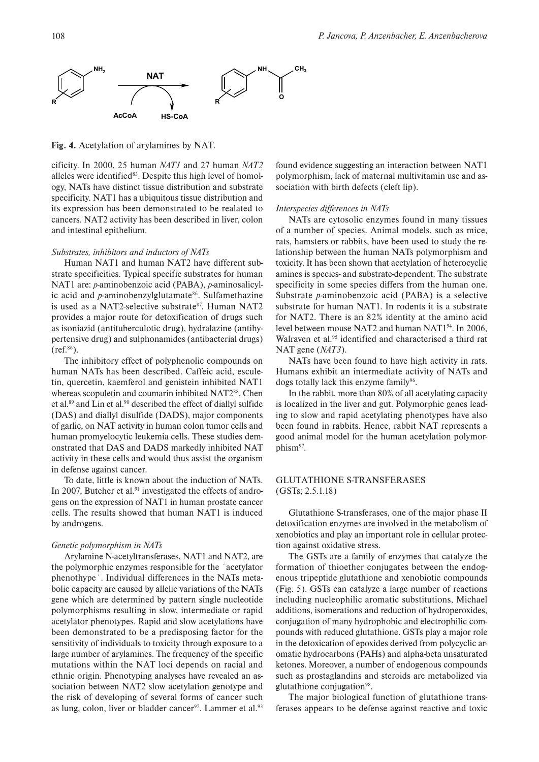

**Fig. 4.** Acetylation of arylamines by NAT.

cificity. In 2000, 25 human *NAT1* and 27 human *NAT2*  alleles were identified<sup>83</sup>. Despite this high level of homology, NATs have distinct tissue distribution and substrate specificity. NAT1 has a ubiquitous tissue distribution and its expression has been demonstrated to be realated to cancers. NAT2 activity has been described in liver, colon and intestinal epithelium.

# *Substrates, inhibitors and inductors of NATs*

Human NAT1 and human NAT2 have different substrate specificities. Typical specific substrates for human NAT1 are: *p*-aminobenzoic acid (PABA), *p*-aminosalicylic acid and *p*-aminobenzylglutamate<sup>86</sup>. Sulfamethazine is used as a NAT2-selective substrate $87$ . Human NAT2 provides a major route for detoxification of drugs such as isoniazid (antituberculotic drug), hydralazine (antihypertensive drug) and sulphonamides (antibacterial drugs)  $(ref.86)$ .

The inhibitory effect of polyphenolic compounds on human NATs has been described. Caffeic acid, esculetin, quercetin, kaemferol and genistein inhibited NAT1 whereas scopuletin and coumarin inhibited NAT2<sup>88</sup>. Chen et al.89 and Lin et al.90 described the effect of diallyl sulfide (DAS) and diallyl disulfide (DADS), major components of garlic, on NAT activity in human colon tumor cells and human promyelocytic leukemia cells. These studies demonstrated that DAS and DADS markedly inhibited NAT activity in these cells and would thus assist the organism in defense against cancer.

To date, little is known about the induction of NATs. In 2007, Butcher et al.<sup>91</sup> investigated the effects of androgens on the expression of NAT1 in human prostate cancer cells. The results showed that human NAT1 is induced by androgens.

### *Genetic polymorphism in NATs*

Arylamine N-acetyltransferases, NAT1 and NAT2, are the polymorphic enzymes responsible for the ´acetylator phenothype´. Individual differences in the NATs metabolic capacity are caused by allelic variations of the NATs gene which are determined by pattern single nucleotide polymorphisms resulting in slow, intermediate or rapid acetylator phenotypes. Rapid and slow acetylations have been demonstrated to be a predisposing factor for the sensitivity of individuals to toxicity through exposure to a large number of arylamines. The frequency of the specific mutations within the NAT loci depends on racial and ethnic origin. Phenotyping analyses have revealed an association between NAT2 slow acetylation genotype and the risk of developing of several forms of cancer such as lung, colon, liver or bladder cancer<sup>92</sup>. Lammer et al.<sup>93</sup> found evidence suggesting an interaction between NAT1 polymorphism, lack of maternal multivitamin use and association with birth defects (cleft lip).

### *Interspecies differences in NATs*

NATs are cytosolic enzymes found in many tissues of a number of species. Animal models, such as mice, rats, hamsters or rabbits, have been used to study the relationship between the human NATs polymorphism and toxicity. It has been shown that acetylation of heterocyclic amines is species- and substrate-dependent. The substrate specificity in some species differs from the human one. Substrate *p*-aminobenzoic acid (PABA) is a selective substrate for human NAT1. In rodents it is a substrate for NAT2. There is an 82% identity at the amino acid level between mouse NAT2 and human NAT194. In 2006, Walraven et al.<sup>95</sup> identified and characterised a third rat NAT gene (*NAT3*).

NATs have been found to have high activity in rats. Humans exhibit an intermediate activity of NATs and dogs totally lack this enzyme family<sup>96</sup>.

In the rabbit, more than 80% of all acetylating capacity is localized in the liver and gut. Polymorphic genes leading to slow and rapid acetylating phenotypes have also been found in rabbits. Hence, rabbit NAT represents a good animal model for the human acetylation polymorphism<sup>97</sup>.

# GLUTATHIONE S-TRANSFERASES (GSTs; 2.5.1.18)

Glutathione S-transferases, one of the major phase II detoxification enzymes are involved in the metabolism of xenobiotics and play an important role in cellular protection against oxidative stress.

The GSTs are a family of enzymes that catalyze the formation of thioether conjugates between the endogenous tripeptide glutathione and xenobiotic compounds (Fig. 5). GSTs can catalyze a large number of reactions including nucleophilic aromatic substitutions, Michael additions, isomerations and reduction of hydroperoxides, conjugation of many hydrophobic and electrophilic compounds with reduced glutathione. GSTs play a major role in the detoxication of epoxides derived from polycyclic aromatic hydrocarbons (PAHs) and alpha-beta unsaturated ketones. Moreover, a number of endogenous compounds such as prostaglandins and steroids are metabolized via glutathione conjugation $98$ .

The major biological function of glutathione transferases appears to be defense against reactive and toxic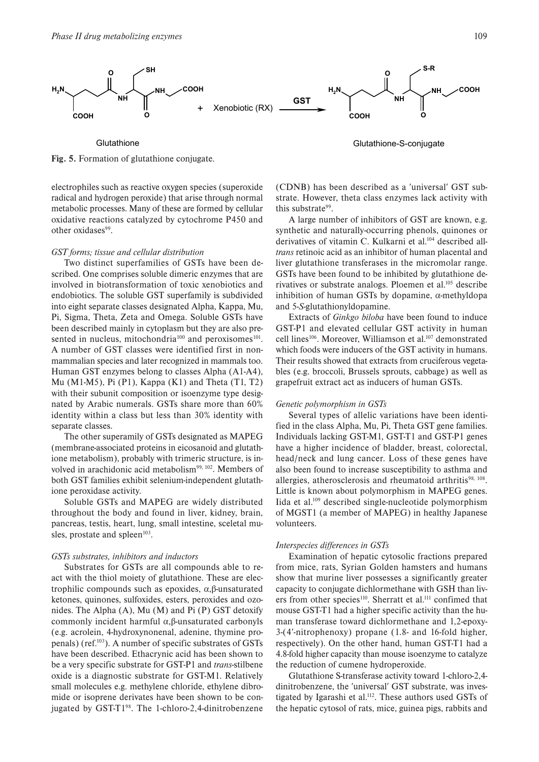

**Fig. 5.** Formation of glutathione conjugate.

**Glutathione** 

electrophiles such as reactive oxygen species (superoxide radical and hydrogen peroxide) that arise through normal metabolic processes. Many of these are formed by cellular oxidative reactions catalyzed by cytochrome P450 and other oxidases<sup>99</sup>.

#### *GST forms; tissue and cellular distribution*

Two distinct superfamilies of GSTs have been described. One comprises soluble dimeric enzymes that are involved in biotransformation of toxic xenobiotics and endobiotics. The soluble GST superfamily is subdivided into eight separate classes designated Alpha, Kappa, Mu, Pi, Sigma, Theta, Zeta and Omega. Soluble GSTs have been described mainly in cytoplasm but they are also presented in nucleus, mitochondria<sup>100</sup> and peroxisomes<sup>101</sup>. A number of GST classes were identified first in nonmammalian species and later recognized in mammals too. Human GST enzymes belong to classes Alpha (A1-A4), Mu (M1-M5), Pi (P1), Kappa (K1) and Theta (T1, T2) with their subunit composition or isoenzyme type designated by Arabic numerals. GSTs share more than 60% identity within a class but less than 30% identity with separate classes.

The other superamily of GSTs designated as MAPEG (membrane-associated proteins in eicosanoid and glutathione metabolism), probably with trimeric structure, is involved in arachidonic acid metabolism<sup>99, 102</sup>. Members of both GST families exhibit selenium-independent glutathione peroxidase activity.

Soluble GSTs and MAPEG are widely distributed throughout the body and found in liver, kidney, brain, pancreas, testis, heart, lung, small intestine, sceletal musles, prostate and spleen $103$ .

# *GSTs substrates, inhibitors and inductors*

Substrates for GSTs are all compounds able to react with the thiol moiety of glutathione. These are electrophilic compounds such as epoxides, α,β-unsaturated ketones, quinones, sulfoxides, esters, peroxides and ozonides. The Alpha (A), Mu (M) and Pi (P) GST detoxify commonly incident harmful α,β-unsaturated carbonyls (e.g. acrolein, 4-hydroxynonenal, adenine, thymine propenals) (ref.103). A number of specific substrates of GSTs have been described. Ethacrynic acid has been shown to be a very specific substrate for GST-P1 and *trans*-stilbene oxide is a diagnostic substrate for GST-M1. Relatively small molecules e.g. methylene chloride, ethylene dibromide or isoprene derivates have been shown to be conjugated by GST- $T1<sup>98</sup>$ . The 1-chloro-2,4-dinitrobenzene Glutathione-S-conjugate

(CDNB) has been described as a ′universal′ GST substrate. However, theta class enzymes lack activity with this substrate<sup>99</sup>.

A large number of inhibitors of GST are known, e.g. synthetic and naturally-occurring phenols, quinones or derivatives of vitamin C. Kulkarni et al.<sup>104</sup> described all*trans* retinoic acid as an inhibitor of human placental and liver glutathione transferases in the micromolar range. GSTs have been found to be inhibited by glutathione derivatives or substrate analogs. Ploemen et al.105 describe inhibition of human GSTs by dopamine, α-methyldopa and 5-*S*-glutathionyldopamine.

Extracts of *Ginkgo biloba* have been found to induce GST-P1 and elevated cellular GST activity in human cell lines<sup>106</sup>. Moreover, Williamson et al.<sup>107</sup> demonstrated which foods were inducers of the GST activity in humans. Their results showed that extracts from cruciferous vegetables (e.g. broccoli, Brussels sprouts, cabbage) as well as grapefruit extract act as inducers of human GSTs.

#### *Genetic polymorphism in GSTs*

Several types of allelic variations have been identified in the class Alpha, Mu, Pi, Theta GST gene families. Individuals lacking GST-M1, GST-T1 and GST-P1 genes have a higher incidence of bladder, breast, colorectal, head/neck and lung cancer. Loss of these genes have also been found to increase susceptibility to asthma and allergies, atherosclerosis and rheumatoid arthritis $98, 108$ . Little is known about polymorphism in MAPEG genes. Iida et al.109 described single-nucleotide polymorphism of MGST1 (a member of MAPEG) in healthy Japanese volunteers.

### *Interspecies differences in GSTs*

Examination of hepatic cytosolic fractions prepared from mice, rats, Syrian Golden hamsters and humans show that murine liver possesses a significantly greater capacity to conjugate dichlormethane with GSH than livers from other species<sup>110</sup>. Sherratt et al.<sup>111</sup> confimed that mouse GST-T1 had a higher specific activity than the human transferase toward dichlormethane and 1,2-epoxy-3-(4′-nitrophenoxy) propane (1.8- and 16-fold higher, respectively). On the other hand, human GST-T1 had a 4.8-fold higher capacity than mouse isoenzyme to catalyze the reduction of cumene hydroperoxide.

Glutathione S-transferase activity toward 1-chloro-2,4 dinitrobenzene, the ′universal′ GST substrate, was investigated by Igarashi et al.<sup>112</sup>. These authors used GSTs of the hepatic cytosol of rats, mice, guinea pigs, rabbits and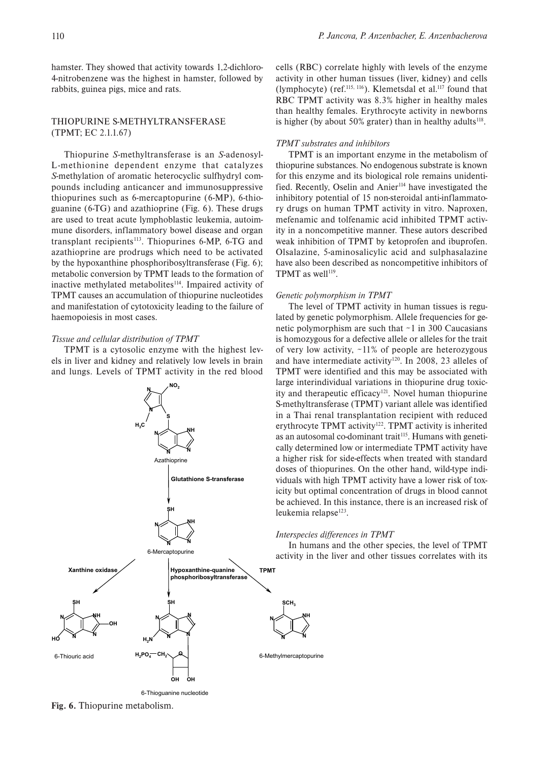hamster. They showed that activity towards 1,2-dichloro-4-nitrobenzene was the highest in hamster, followed by rabbits, guinea pigs, mice and rats.

# THIOPURINE S-METHYLTRANSFERASE (TPMT; EC 2.1.1.67)

Thiopurine *S*-methyltransferase is an *S*-adenosyl-L-methionine dependent enzyme that catalyzes *S*-methylation of aromatic heterocyclic sulfhydryl compounds including anticancer and immunosuppressive thiopurines such as 6-mercaptopurine (6-MP), 6-thioguanine (6-TG) and azathioprine (Fig. 6). These drugs are used to treat acute lymphoblastic leukemia, autoimmune disorders, inflammatory bowel disease and organ transplant recipients<sup>113</sup>. Thiopurines 6-MP, 6-TG and azathioprine are prodrugs which need to be activated by the hypoxanthine phosphoribosyltransferase (Fig. 6); metabolic conversion by TPMT leads to the formation of inactive methylated metabolites<sup>114</sup>. Impaired activity of TPMT causes an accumulation of thiopurine nucleotides and manifestation of cytotoxicity leading to the failure of haemopoiesis in most cases.

#### *Tissue and cellular distribution of TPMT*

TPMT is a cytosolic enzyme with the highest levels in liver and kidney and relatively low levels in brain and lungs. Levels of TPMT activity in the red blood



6-Thioguanine nucleotide

cells (RBC) correlate highly with levels of the enzyme activity in other human tissues (liver, kidney) and cells (lymphocyte) (ref.115, 116). Klemetsdal et al.117 found that RBC TPMT activity was 8.3% higher in healthy males than healthy females. Erythrocyte activity in newborns is higher (by about 50% grater) than in healthy adults<sup>118</sup>.

### *TPMT substrates and inhibitors*

TPMT is an important enzyme in the metabolism of thiopurine substances. No endogenous substrate is known for this enzyme and its biological role remains unidentified. Recently, Oselin and Anier<sup>114</sup> have investigated the inhibitory potential of 15 non-steroidal anti-inflammatory drugs on human TPMT activity in vitro. Naproxen, mefenamic and tolfenamic acid inhibited TPMT activity in a noncompetitive manner. These autors described weak inhibition of TPMT by ketoprofen and ibuprofen. Olsalazine, 5-aminosalicylic acid and sulphasalazine have also been described as noncompetitive inhibitors of TPMT as well<sup>119</sup>.

#### *Genetic polymorphism in TPMT*

The level of TPMT activity in human tissues is regulated by genetic polymorphism. Allele frequencies for genetic polymorphism are such that ∼1 in 300 Caucasians is homozygous for a defective allele or alleles for the trait of very low activity, ∼11% of people are heterozygous and have intermediate activity<sup>120</sup>. In 2008, 23 alleles of TPMT were identified and this may be associated with large interindividual variations in thiopurine drug toxicity and therapeutic efficacy<sup>121</sup>. Novel human thiopurine S-methyltransferase (TPMT) variant allele was identified in a Thai renal transplantation recipient with reduced erythrocyte TPMT activity<sup>122</sup>. TPMT activity is inherited as an autosomal co-dominant trait<sup>115</sup>. Humans with genetically determined low or intermediate TPMT activity have a higher risk for side-effects when treated with standard doses of thiopurines. On the other hand, wild-type individuals with high TPMT activity have a lower risk of toxicity but optimal concentration of drugs in blood cannot be achieved. In this instance, there is an increased risk of leukemia relapse $123$ .

### *Interspecies differences in TPMT*

**N**

In humans and the other species, the level of TPMT activity in the liver and other tissues correlates with its

**Fig. 6.** Thiopurine metabolism.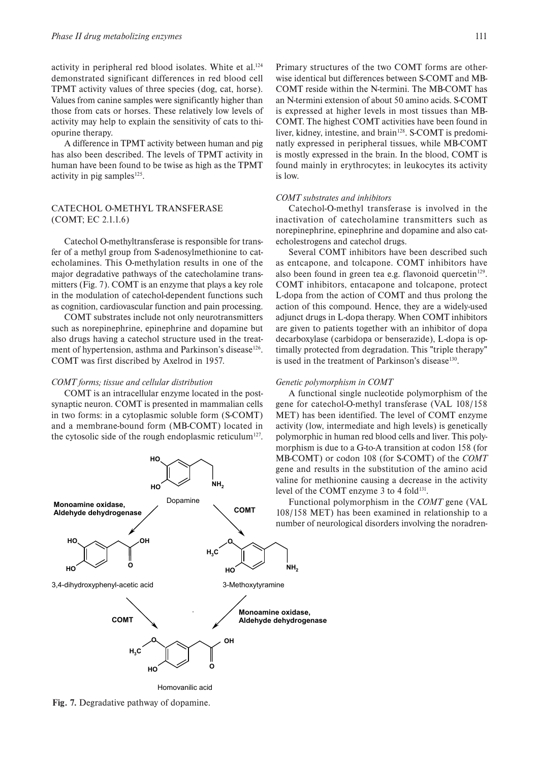activity in peripheral red blood isolates. White et al.<sup>124</sup> demonstrated significant differences in red blood cell TPMT activity values of three species (dog, cat, horse). Values from canine samples were significantly higher than those from cats or horses. These relatively low levels of activity may help to explain the sensitivity of cats to thiopurine therapy.

A difference in TPMT activity between human and pig has also been described. The levels of TPMT activity in human have been found to be twise as high as the TPMT activity in pig samples<sup>125</sup>.

# CATECHOL O-METHYL TRANSFERASE (COMT; EC 2.1.1.6)

Catechol O-methyltransferase is responsible for transfer of a methyl group from S-adenosylmethionine to catecholamines. This O-methylation results in one of the major degradative pathways of the catecholamine transmitters (Fig. 7). COMT is an enzyme that plays a key role in the modulation of catechol-dependent functions such as cognition, cardiovascular function and pain processing.

COMT substrates include not only neurotransmitters such as norepinephrine, epinephrine and dopamine but also drugs having a catechol structure used in the treatment of hypertension, asthma and Parkinson's disease<sup>126</sup>. COMT was first discribed by Axelrod in 1957.

### *COMT forms; tissue and cellular distribution*

COMT is an intracellular enzyme located in the postsynaptic neuron. COMT is presented in mammalian cells in two forms: in a cytoplasmic soluble form (S-COMT) and a membrane-bound form (MB-COMT) located in the cytosolic side of the rough endoplasmic reticulum<sup>127</sup>.



Homovanilic acid

**Fig. 7.** Degradative pathway of dopamine.

Primary structures of the two COMT forms are otherwise identical but differences between S-COMT and MB-COMT reside within the N-termini. The MB-COMT has an N-termini extension of about 50 amino acids. S-COMT is expressed at higher levels in most tissues than MB-COMT. The highest COMT activities have been found in liver, kidney, intestine, and brain<sup>128</sup>. S-COMT is predominatly expressed in peripheral tissues, while MB-COMT is mostly expressed in the brain. In the blood, COMT is found mainly in erythrocytes; in leukocytes its activity is low.

### *COMT substrates and inhibitors*

Catechol-O-methyl transferase is involved in the inactivation of catecholamine transmitters such as norepinephrine, epinephrine and dopamine and also catecholestrogens and catechol drugs.

Several COMT inhibitors have been described such as entcapone, and tolcapone. COMT inhibitors have also been found in green tea e.g. flavonoid quercetin $129$ . COMT inhibitors, entacapone and tolcapone, protect L-dopa from the action of COMT and thus prolong the action of this compound. Hence, they are a widely-used adjunct drugs in L-dopa therapy. When COMT inhibitors are given to patients together with an inhibitor of dopa decarboxylase (carbidopa or benserazide), L-dopa is optimally protected from degradation. This "triple therapy" is used in the treatment of Parkinson's disease<sup>130</sup>.

### *Genetic polymorphism in COMT*

A functional single nucleotide polymorphism of the gene for catechol-O-methyl transferase (VAL 108/158 MET) has been identified. The level of COMT enzyme activity (low, intermediate and high levels) is genetically polymorphic in human red blood cells and liver. This polymorphism is due to a G-to-A transition at codon 158 (for MB-COMT) or codon 108 (for S-COMT) of the *COMT* gene and results in the substitution of the amino acid valine for methionine causing a decrease in the activity level of the COMT enzyme 3 to 4 fold<sup>131</sup>.

Functional polymorphism in the *COMT* gene (VAL 108/158 MET) has been examined in relationship to a number of neurological disorders involving the noradren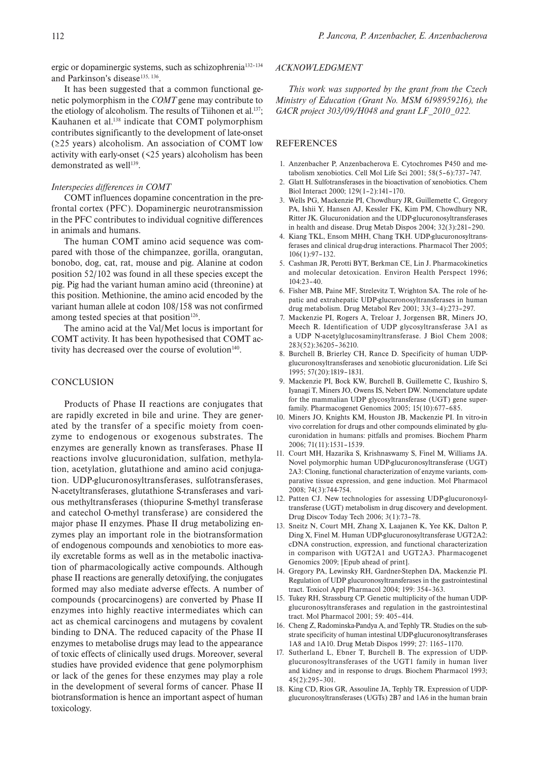ergic or dopaminergic systems, such as schizophrenia132–134 and Parkinson's disease<sup>135, 136</sup>.

It has been suggested that a common functional genetic polymorphism in the *COMT* gene may contribute to the etiology of alcoholism. The results of Tiihonen et al.<sup>137</sup>; Kauhanen et al.138 indicate that COMT polymorphism contributes significantly to the development of late-onset (≥25 years) alcoholism. An association of COMT low activity with early-onset (<25 years) alcoholism has been demonstrated as well $139$ .

# *Interspecies differences in COMT*

COMT influences dopamine concentration in the prefrontal cortex (PFC). Dopaminergic neurotransmission in the PFC contributes to individual cognitive differences in animals and humans.

The human COMT amino acid sequence was compared with those of the chimpanzee, gorilla, orangutan, bonobo, dog, cat, rat, mouse and pig. Alanine at codon position 52/102 was found in all these species except the pig. Pig had the variant human amino acid (threonine) at this position. Methionine, the amino acid encoded by the variant human allele at codon 108/158 was not confirmed among tested species at that position<sup>126</sup>.

The amino acid at the Val/Met locus is important for COMT activity. It has been hypothesised that COMT activity has decreased over the course of evolution<sup>140</sup>.

# **CONCLUSION**

Products of Phase II reactions are conjugates that are rapidly excreted in bile and urine. They are generated by the transfer of a specific moiety from coenzyme to endogenous or exogenous substrates. The enzymes are generally known as transferases. Phase II reactions involve glucuronidation, sulfation, methylation, acetylation, glutathione and amino acid conjugation. UDP-glucuronosyltransferases, sulfotransferases, N-acetyltransferases, glutathione S-transferases and various methyltransferases (thiopurine S-methyl transferase and catechol O-methyl transferase) are considered the major phase II enzymes. Phase II drug metabolizing enzymes play an important role in the biotransformation of endogenous compounds and xenobiotics to more easily excretable forms as well as in the metabolic inactivation of pharmacologically active compounds. Although phase II reactions are generally detoxifying, the conjugates formed may also mediate adverse effects. A number of compounds (procarcinogens) are converted by Phase II enzymes into highly reactive intermediates which can act as chemical carcinogens and mutagens by covalent binding to DNA. The reduced capacity of the Phase II enzymes to metabolise drugs may lead to the appearance of toxic effects of clinically used drugs. Moreover, several studies have provided evidence that gene polymorphism or lack of the genes for these enzymes may play a role in the development of several forms of cancer. Phase II biotransformation is hence an important aspect of human toxicology.

# *ACKNOWLEDGMENT*

*This work was supported by the grant from the Czech Ministry of Education (Grant No. MSM 6198959216), the GACR project 303/09/H048 and grant LF\_2010\_022.*

# REFERENCES

- 1. Anzenbacher P, Anzenbacherova E. Cytochromes P450 and metabolism xenobiotics. Cell Mol Life Sci 2001; 58(5–6):737–747.
- 2. Glatt H. Sulfotransferases in the bioactivation of xenobiotics. Chem Biol Interact 2000; 129(1–2):141–170.
- 3. Wells PG, Mackenzie PI, Chowdhury JR, Guillemette C, Gregory PA, Ishii Y, Hansen AJ, Kessler FK, Kim PM, Chowdhury NR, Ritter JK. Glucuronidation and the UDP-glucuronosyltransferases in health and disease. Drug Metab Dispos 2004; 32(3):281–290.
- 4. Kiang TKL, Ensom MHH, Chang TKH. UDP-glucuronosyltransferases and clinical drug-drug interactions. Pharmacol Ther 2005; 106(1):97–132.
- 5. Cashman JR, Perotti BYT, Berkman CE, Lin J. Pharmacokinetics and molecular detoxication. Environ Health Perspect 1996; 104:23–40.
- 6. Fisher MB, Paine MF, Strelevitz T, Wrighton SA. The role of hepatic and extrahepatic UDP-glucuronosyltransferases in human drug metabolism. Drug Metabol Rev 2001; 33(3–4):273–297.
- 7. Mackenzie PI, Rogers A, Treloar J, Jorgensen BR, Miners JO, Meech R. Identification of UDP glycosyltransferase 3A1 as a UDP N-acetylglucosaminyltransferase. J Biol Chem 2008; 283(52):36205–36210.
- 8. Burchell B, Brierley CH, Rance D. Specificity of human UDPglucuronosyltransferases and xenobiotic glucuronidation. Life Sci 1995; 57(20):1819–1831.
- 9. Mackenzie PI, Bock KW, Burchell B, Guillemette C, Ikushiro S, Iyanagi T, Miners JO, Owens IS, Nebert DW. Nomenclature update for the mammalian UDP glycosyltransferase (UGT) gene superfamily. Pharmacogenet Genomics 2005; 15(10):677–685.
- 10. Miners JO, Knights KM, Houston JB, Mackenzie PI. In vitro-in vivo correlation for drugs and other compounds eliminated by glucuronidation in humans: pitfalls and promises. Biochem Pharm 2006; 71(11):1531–1539.
- 11. Court MH, Hazarika S, Krishnaswamy S, Finel M, Williams JA. Novel polymorphic human UDP-glucuronosyltransferase (UGT) 2A3: Cloning, functional characterization of enzyme variants, comparative tissue expression, and gene induction. Mol Pharmacol 2008; 74(3):744-754.
- 12. Patten CJ. New technologies for assessing UDP-glucuronosyltransferase (UGT) metabolism in drug discovery and development. Drug Discov Today Tech 2006; 3(1):73–78.
- 13. Sneitz N, Court MH, Zhang X, Laajanen K, Yee KK, Dalton P, Ding X, Finel M. Human UDP-glucuronosyltransferase UGT2A2: cDNA construction, expression, and functional characterization in comparison with UGT2A1 and UGT2A3. Pharmacogenet Genomics 2009; [Epub ahead of print].
- 14. Gregory PA, Lewinsky RH, Gardner-Stephen DA, Mackenzie PI. Regulation of UDP glucuronosyltransferases in the gastrointestinal tract. Toxicol Appl Pharmacol 2004; 199: 354–363.
- 15. Tukey RH, Strassburg CP. Genetic multiplicity of the human UDPglucuronosyltransferases and regulation in the gastrointestinal tract. Mol Pharmacol 2001; 59: 405–414.
- 16. Cheng Z, Radominska-Pandya A, and Tephly TR. Studies on the substrate specificity of human intestinal UDP-glucuronosyltransferases 1A8 and 1A10. Drug Metab Dispos 1999; 27: 1165–1170.
- 17. Sutherland L, Ebner T, Burchell B. The expression of UDPglucuronosyltransferases of the UGT1 family in human liver and kidney and in response to drugs. Biochem Pharmacol 1993; 45(2):295–301.
- 18. King CD, Rios GR, Assouline JA, Tephly TR. Expression of UDPglucuronosyltransferases (UGTs) 2B7 and 1A6 in the human brain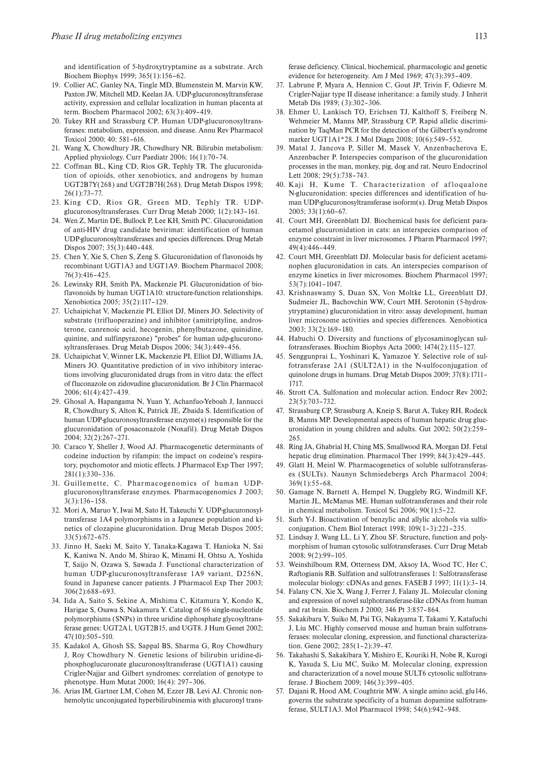and identification of 5-hydroxytryptamine as a substrate. Arch Biochem Biophys 1999; 365(1):156–62.

- 19. Collier AC, Ganley NA, Tingle MD, Blumenstein M, Marvin KW, Paxton JW, Mitchell MD, Keelan JA. UDP-glucuronosyltransferase activity, expression and cellular localization in human placenta at term. Biochem Pharmacol 2002; 63(3):409–419.
- 20. Tukey RH and Strassburg CP. Human UDP-glucuronosyltransferases: metabolism, expression, and disease. Annu Rev Pharmacol Toxicol 2000; 40: 581–616.
- 21. Wang X, Chowdhury JR, Chowdhury NR. Bilirubin metabolism: Applied physiology. Curr Paediatr 2006; 16(1):70–74.
- 22. Coffman BL, King CD, Rios GR, Tephly TR. The glucuronidation of opioids, other xenobiotics, and androgens by human UGT2B7Y(268) and UGT2B7H(268). Drug Metab Dispos 1998; 26(1):73–77.
- 23. King CD, Rios GR, Green MD, Tephly TR. UDPglucuronosyltransferases. Curr Drug Metab 2000; 1(2):143–161.
- 24. Wen Z, Martin DE, Bullock P, Lee KH, Smith PC. Glucuronidation of anti-HIV drug candidate bevirimat: identification of human UDP-glucuronosyltransferases and species differences. Drug Metab Dispos 2007; 35(3):440–448.
- 25. Chen Y, Xie S, Chen S, Zeng S. Glucuronidation of flavonoids by recombinant UGT1A3 and UGT1A9. Biochem Pharmacol 2008; 76(3):416–425.
- 26. Lewinsky RH, Smith PA, Mackenzie PI. Glucuronidation of bioflavonoids by human UGT1A10: structure-function relationships. Xenobiotica 2005; 35(2):117–129.
- 27. Uchaipichat V, Mackenzie PI, Elliot DJ, Miners JO. Selectivity of substrate (trifluoperazine) and inhibitor (amitriptyline, androsterone, canrenoic acid, hecogenin, phenylbutazone, quinidine, quinine, and sulfinpyrazone) "probes" for human udp-glucuronosyltransferases. Drug Metab Dispos 2006; 34(3):449–456.
- 28. Uchaipichat V, Winner LK, Mackenzie PI, Elliot DJ, Williams JA, Miners JO. Quantitative prediction of in vivo inhibitory interactions involving glucuronidated drugs from in vitro data: the effect of fluconazole on zidovudine glucuronidation. Br J Clin Pharmacol 2006; 61(4):427–439.
- 29. Ghosal A, Hapangama N, Yuan Y, Achanfuo-Yeboah J, Iannucci R, Chowdhury S, Alton K, Patrick JE, Zbaida S. Identification of human UDP-glucuronosyltransferase enzyme(s) responsible for the glucuronidation of posaconazole (Noxafil). Drug Metab Dispos 2004; 32(2):267–271.
- 30. Caraco Y, Sheller J, Wood AJ. Pharmacogenetic determinants of codeine induction by rifampin: the impact on codeine's respiratory, psychomotor and miotic effects. J Pharmacol Exp Ther 1997; 281(1):330–336.
- 31. Guillemette, C. Pharmacogenomics of human UDPglucuronosyltransferase enzymes. Pharmacogenomics J 2003; 3(3):136–158.
- 32. Mori A, Maruo Y, Iwai M, Sato H, Takeuchi Y. UDP-glucuronosyltransferase 1A4 polymorphisms in a Japanese population and kinetics of clozapine glucuronidation. Drug Metab Dispos 2005; 33(5):672–675.
- 33. Jinno H, Saeki M, Saito Y, Tanaka-Kagawa T, Hanioka N, Sai K, Kaniwa N, Ando M, Shirao K, Minami H, Ohtsu A, Yoshida T, Saijo N, Ozawa S, Sawada J. Functional characterization of human UDP-glucuronosyltransferase 1A9 variant, D256N, found in Japanese cancer patients. J Pharmacol Exp Ther 2003; 306(2):688–693.
- 34. Iida A, Saito S, Sekine A, Mishima C, Kitamura Y, Kondo K, Harigae S, Osawa S, Nakamura Y. Catalog of 86 single-nucleotide polymorphisms (SNPs) in three uridine diphosphate glycosyltransferase genes: UGT2A1, UGT2B15, and UGT8. J Hum Genet 2002; 47(10):505–510.
- 35. Kadakol A, Ghosh SS, Sappal BS, Sharma G, Roy Chowdhury J, Roy Chowdhury N. Genetic lesions of bilirubin uridine-diphosphoglucuronate glucuronosyltransferase (UGT1A1) causing Crigler-Najjar and Gilbert syndromes: correlation of genotype to phenotype. Hum Mutat 2000; 16(4): 297–306.
- 36. Arias IM, Gartner LM, Cohen M, Ezzer JB, Levi AJ. Chronic nonhemolytic unconjugated hyperbilirubinemia with glucuronyl trans-

ferase deficiency. Clinical, biochemical, pharmacologic and genetic evidence for heterogeneity. Am J Med 1969; 47(3):395–409.

- 37. Labrune P, Myara A, Hennion C, Gout JP, Trivin F, Odievre M. Crigler-Najjar type II disease inheritance: a family study. J Inherit Metab Dis 1989; (3):302–306.
- 38. Ehmer U, Lankisch TO, Erichsen TJ, Kalthoff S, Freiberg N, Wehmeier M, Manns MP, Strassburg CP. Rapid allelic discrimination by TaqMan PCR for the detection of the Gilbert's syndrome marker UGT1A1\*28. J Mol Diagn 2008; 10(6):549–552.
- 39. Matal J, Jancova P, Siller M, Masek V, Anzenbacherova E, Anzenbacher P. Interspecies comparison of the glucuronidation processes in the man, monkey, pig, dog and rat. Neuro Endocrinol Lett 2008; 29(5):738–743.
- 40. Kaji H, Kume T. Characterization of afloqualone N-glucuronidation: species differences and identification of human UDP-glucuronosyltransferase isoform(s). Drug Metab Dispos 2005; 33(1):60–67.
- 41. Court MH, Greenblatt DJ. Biochemical basis for deficient paracetamol glucuronidation in cats: an interspecies comparison of enzyme constraint in liver microsomes. J Pharm Pharmacol 1997; 49(4):446–449.
- 42. Court MH, Greenblatt DJ. Molecular basis for deficient acetaminophen glucuronidation in cats. An interspecies comparison of enzyme kinetics in liver microsomes. Biochem Pharmacol 1997; 53(7):1041–1047.
- 43. Krishnaswamy S, Duan SX, Von Moltke LL, Greenblatt DJ, Sudmeier JL, Bachovchin WW, Court MH. Serotonin (5-hydroxytryptamine) glucuronidation in vitro: assay development, human liver microsome activities and species differences. Xenobiotica 2003; 33(2):169–180.
- 44. Habuchi O. Diversity and functions of glycosaminoglycan sulfotransferases. Biochim Biophys Acta 2000; 1474(2):115–127.
- 45. Senggunprai L, Yoshinari K, Yamazoe Y. Selective role of sulfotransferase 2A1 (SULT2A1) in the N-sulfoconjugation of quinolone drugs in humans. Drug Metab Dispos 2009; 37(8):1711– 1717.
- 46. Strott CA. Sulfonation and molecular action. Endocr Rev 2002; 23(5):703–732.
- 47. Strassburg CP, Strassburg A, Kneip S, Barut A, Tukey RH, Rodeck B, Manns MP. Developmental aspects of human hepatic drug glucuronidation in young children and adults. Gut 2002; 50(2):259– 265.
- 48. Ring JA, Ghabrial H, Ching MS, Smallwood RA, Morgan DJ. Fetal hepatic drug elimination. Pharmacol Ther 1999; 84(3):429–445.
- 49. Glatt H, Meinl W. Pharmacogenetics of soluble sulfotransferases (SULTs). Naunyn Schmiedebergs Arch Pharmacol 2004; 369(1):55–68.
- 50. Gamage N, Barnett A, Hempel N, Duggleby RG, Windmill KF, Martin JL, McManus ME. Human sulfotransferases and their role in chemical metabolism. Toxicol Sci 2006; 90(1):5–22.
- 51. Surh Y-J. Bioactivation of benzylic and allylic alcohols via sulfoconjugation. Chem Biol Interact 1998; 109(1–3):221–235.
- 52. Lindsay J, Wang LL, Li Y, Zhou SF. Structure, function and polymorphism of human cytosolic sulfotransferases. Curr Drug Metab 2008; 9(2):99–105.
- 53. Weinshilboum RM, Otterness DM, Aksoy IA, Wood TC, Her C, Raftogianis RB. Sulfation and sulfotransferases 1: Sulfotransferase molecular biology: cDNAs and genes. FASEB J 1997; 11(1):3–14.
- 54. Falany CN, Xie X, Wang J, Ferrer J, Falany JL. Molecular cloning and expression of novel sulphotransferase-like cDNAs from human and rat brain. Biochem J 2000; 346 Pt 3:857–864.
- 55. Sakakibara Y, Suiko M, Pai TG, Nakayama T, Takami Y, Katafuchi J, Liu MC. Highly conserved mouse and human brain sulfotransferases: molecular cloning, expression, and functional characterization. Gene 2002; 285(1–2):39–47.
- 56. Takahashi S, Sakakibara Y, Mishiro E, Kouriki H, Nobe R, Kurogi K, Yasuda S, Liu MC, Suiko M. Molecular cloning, expression and characterization of a novel mouse SULT6 cytosolic sulfotransferase. J Biochem 2009; 146(3):399–405.
- 57. Dajani R, Hood AM, Coughtrie MW. A single amino acid, glu146, governs the substrate specificity of a human dopamine sulfotransferase, SULT1A3. Mol Pharmacol 1998; 54(6):942–948.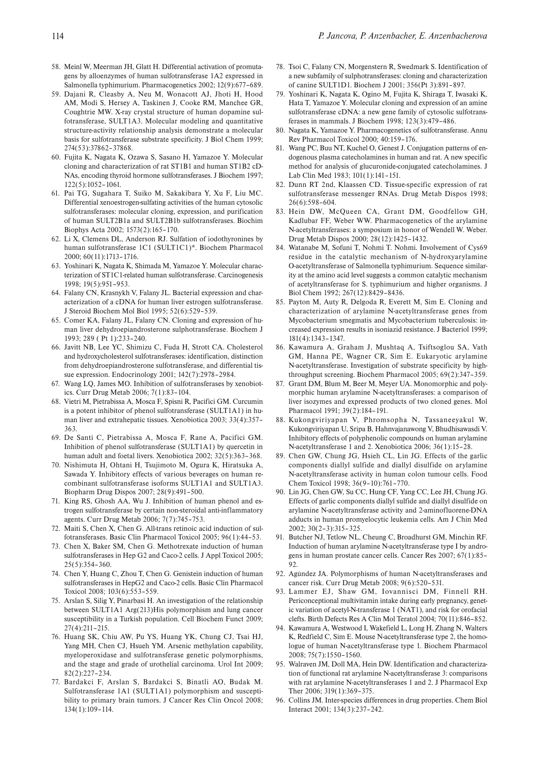- 58. Meinl W, Meerman JH, Glatt H. Differential activation of promutagens by alloenzymes of human sulfotransferase 1A2 expressed in Salmonella typhimurium. Pharmacogenetics 2002; 12(9):677–689.
- 59. Dajani R, Cleasby A, Neu M, Wonacott AJ, Jhoti H, Hood AM, Modi S, Hersey A, Taskinen J, Cooke RM, Manchee GR, Coughtrie MW. X-ray crystal structure of human dopamine sulfotransferase, SULT1A3. Molecular modeling and quantitative structure-activity relationship analysis demonstrate a molecular basis for sulfotransferase substrate specificity. J Biol Chem 1999; 274(53):37862–37868.
- 60. Fujita K, Nagata K, Ozawa S, Sasano H, Yamazoe Y. Molecular cloning and characterization of rat ST1B1 and human ST1B2 cD-NAs, encoding thyroid hormone sulfotransferases. J Biochem 1997; 122(5):1052–1061.
- 61. Pai TG, Sugahara T, Suiko M, Sakakibara Y, Xu F, Liu MC. Differential xenoestrogen-sulfating activities of the human cytosolic sulfotransferases: molecular cloning, expression, and purification of human SULT2B1a and SULT2B1b sulfotransferases. Biochim Biophys Acta 2002; 1573(2):165–170.
- 62. Li X, Clemens DL, Anderson RJ. Sulfation of iodothyronines by human sulfotransferase 1C1 (SULT1C1)\*. Biochem Pharmacol 2000; 60(11):1713–1716.
- 63. Yoshinari K, Nagata K, Shimada M, Yamazoe Y. Molecular characterization of ST1C1-related human sulfotransferase. Carcinogenesis 1998; 19(5):951–953.
- 64. Falany CN, Krasnykh V, Falany JL. Bacterial expression and characterization of a cDNA for human liver estrogen sulfotransferase. J Steroid Biochem Mol Biol 1995; 52(6):529–539.
- 65. Comer KA, Falany JL, Falany CN. Cloning and expression of human liver dehydroepiandrosterone sulphotransferase. Biochem J 1993; 289 ( Pt 1):233–240.
- 66. Javitt NB, Lee YC, Shimizu C, Fuda H, Strott CA. Cholesterol and hydroxycholesterol sulfotransferases: identification, distinction from dehydroepiandrosterone sulfotransferase, and differential tissue expression. Endocrinology 2001; 142(7):2978–2984.
- 67. Wang LQ, James MO. Inhibition of sulfotransferases by xenobiotics. Curr Drug Metab 2006; 7(1):83–104.
- 68. Vietri M, Pietrabissa A, Mosca F, Spisni R, Pacifici GM. Curcumin is a potent inhibitor of phenol sulfotransferase (SULT1A1) in human liver and extrahepatic tissues. Xenobiotica 2003; 33(4):357– 363.
- 69. De Santi C, Pietrabissa A, Mosca F, Rane A, Pacifici GM. Inhibition of phenol sulfotransferase (SULT1A1) by quercetin in human adult and foetal livers. Xenobiotica 2002; 32(5):363–368.
- 70. Nishimuta H, Ohtani H, Tsujimoto M, Ogura K, Hiratsuka A, Sawada Y. Inhibitory effects of various beverages on human recombinant sulfotransferase isoforms SULT1A1 and SULT1A3. Biopharm Drug Dispos 2007; 28(9):491–500.
- 71. King RS, Ghosh AA, Wu J. Inhibition of human phenol and estrogen sulfotransferase by certain non-steroidal anti-inflammatory agents. Curr Drug Metab 2006; 7(7):745–753.
- 72. Maiti S, Chen X, Chen G. All-trans retinoic acid induction of sulfotransferases. Basic Clin Pharmacol Toxicol 2005; 96(1):44–53.
- 73. Chen X, Baker SM, Chen G. Methotrexate induction of human sulfotransferases in Hep G2 and Caco-2 cells. J Appl Toxicol 2005; 25(5):354–360.
- 74. Chen Y, Huang C, Zhou T, Chen G. Genistein induction of human sulfotransferases in HepG2 and Caco-2 cells. Basic Clin Pharmacol Toxicol 2008; 103(6):553–559.
- 75. Arslan S, Silig Y, Pinarbasi H. An investigation of the relationship between SULT1A1 Arg(213)His polymorphism and lung cancer susceptibility in a Turkish population. Cell Biochem Funct 2009; 27(4):211–215.
- 76. Huang SK, Chiu AW, Pu YS, Huang YK, Chung CJ, Tsai HJ, Yang MH, Chen CJ, Hsueh YM. Arsenic methylation capability, myeloperoxidase and sulfotransferase genetic polymorphisms, and the stage and grade of urothelial carcinoma. Urol Int 2009; 82(2):227–234.
- 77. Bardakci F, Arslan S, Bardakci S, Binatli AO, Budak M. Sulfotransferase 1A1 (SULT1A1) polymorphism and susceptibility to primary brain tumors. J Cancer Res Clin Oncol 2008; 134(1):109–114.
- 78. Tsoi C, Falany CN, Morgenstern R, Swedmark S. Identification of a new subfamily of sulphotransferases: cloning and characterization of canine SULT1D1. Biochem J 2001; 356(Pt 3):891–897.
- 79. Yoshinari K, Nagata K, Ogino M, Fujita K, Shiraga T, Iwasaki K, Hata T, Yamazoe Y. Molecular cloning and expression of an amine sulfotransferase cDNA: a new gene family of cytosolic sulfotransferases in mammals. J Biochem 1998; 123(3):479–486.
- 80. Nagata K, Yamazoe Y. Pharmacogenetics of sulfotransferase. Annu Rev Pharmacol Toxicol 2000; 40:159–176.
- 81. Wang PC, Buu NT, Kuchel O, Genest J. Conjugation patterns of endogenous plasma catecholamines in human and rat. A new specific method for analysis of glucuronide-conjugated catecholamines. J Lab Clin Med 1983; 101(1):141–151.
- 82. Dunn RT 2nd, Klaassen CD. Tissue-specific expression of rat sulfotransferase messenger RNAs. Drug Metab Dispos 1998; 26(6):598–604.
- 83. Hein DW, McQueen CA, Grant DM, Goodfellow GH, Kadlubar FF, Weber WW. Pharmacogenetics of the arylamine N-acetyltransferases: a symposium in honor of Wendell W. Weber. Drug Metab Dispos 2000; 28(12):1425–1432.
- 84. Watanabe M, Sofuni T, Nohmi T. Nohmi. Involvement of Cys69 residue in the catalytic mechanism of N-hydroxyarylamine O-acetyltransferase of Salmonella typhimurium. Sequence similarity at the amino acid level suggests a common catalytic mechanism of acetyltransferase for S. typhimurium and higher organisms. J Biol Chem 1992; 267(12):8429–8436.
- 85. Payton M, Auty R, Delgoda R, Everett M, Sim E. Cloning and characterization of arylamine N-acetyltransferase genes from Mycobacterium smegmatis and Mycobacterium tuberculosis: increased expression results in isoniazid resistance. J Bacteriol 1999; 181(4):1343–1347.
- 86. Kawamura A, Graham J, Mushtaq A, Tsiftsoglou SA, Vath GM, Hanna PE, Wagner CR, Sim E. Eukaryotic arylamine N-acetyltransferase. Investigation of substrate specificity by highthroughput screening. Biochem Pharmacol 2005; 69(2):347–359.
- 87. Grant DM, Blum M, Beer M, Meyer UA. Monomorphic and polymorphic human arylamine N-acetyltransferases: a comparison of liver isozymes and expressed products of two cloned genes. Mol Pharmacol 1991; 39(2):184–191.
- 88. Kukongviriyapan V, Phromsopha N, Tassaneeyakul W, Kukongviriyapan U, Sripa B, Hahnvajanawong V, Bhudhisawasdi V. Inhibitory effects of polyphenolic compounds on human arylamine N-acetyltransferase 1 and 2. Xenobiotica 2006; 36(1):15–28.
- 89. Chen GW, Chung JG, Hsieh CL, Lin JG. Effects of the garlic components diallyl sulfide and diallyl disulfide on arylamine N-acetyltransferase activity in human colon tumour cells. Food Chem Toxicol 1998; 36(9–10):761–770.
- 90. Lin JG, Chen GW, Su CC, Hung CF, Yang CC, Lee JH, Chung JG. Effects of garlic components diallyl sulfide and diallyl disulfide on arylamine N-acetyltransferase activity and 2-aminofluorene-DNA adducts in human promyelocytic leukemia cells. Am J Chin Med 2002; 30(2–3):315–325.
- 91. Butcher NJ, Tetlow NL, Cheung C, Broadhurst GM, Minchin RF. Induction of human arylamine N-acetyltransferase type I by androgens in human prostate cancer cells. Cancer Res 2007; 67(1):85–  $92$
- 92. Agúndez JA. Polymorphisms of human N-acetyltransferases and cancer risk. Curr Drug Metab 2008; 9(6):520–531.
- 93. Lammer EJ, Shaw GM, Iovannisci DM, Finnell RH. Periconceptional multivitamin intake during early pregnancy, genetic variation of acetyl-N-transferase 1 (NAT1), and risk for orofacial clefts. Birth Defects Res A Clin Mol Teratol 2004; 70(11):846–852.
- 94. Kawamura A, Westwood I, Wakefield L, Long H, Zhang N, Walters K, Redfield C, Sim E. Mouse N-acetyltransferase type 2, the homologue of human N-acetyltransferase type 1. Biochem Pharmacol 2008; 75(7):1550–1560.
- 95. Walraven JM, Doll MA, Hein DW. Identification and characterization of functional rat arylamine N-acetyltransferase 3: comparisons with rat arylamine N-acetyltransferases 1 and 2. J Pharmacol Exp Ther 2006; 319(1):369–375.
- 96. Collins JM. Inter-species differences in drug properties. Chem Biol Interact 2001; 134(3):237–242.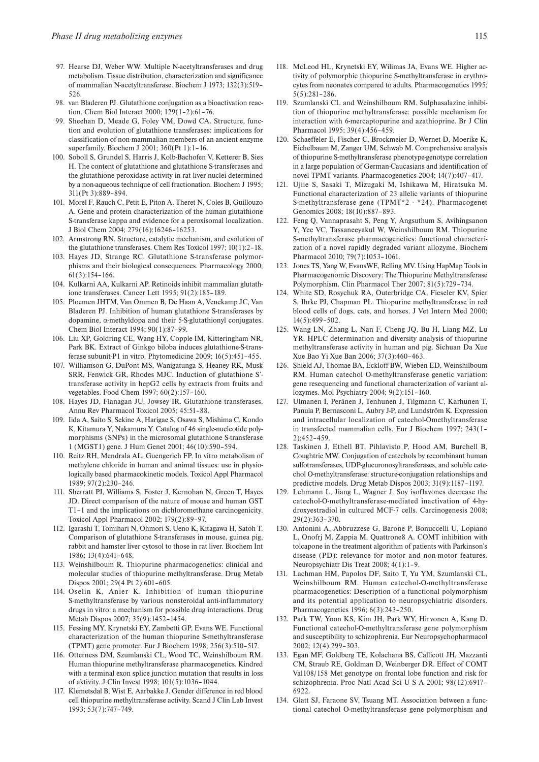- 97. Hearse DJ, Weber WW. Multiple N-acetyltransferases and drug metabolism. Tissue distribution, characterization and significance of mammalian N-acetyltransferase. Biochem J 1973; 132(3):519– 526.
- 98. van Bladeren PJ. Glutathione conjugation as a bioactivation reaction. Chem Biol Interact 2000; 129(1–2):61–76.
- 99. Sheehan D, Meade G, Foley VM, Dowd CA. Structure, function and evolution of glutathione transferases: implications for classification of non-mammalian members of an ancient enzyme superfamily. Biochem J 2001; 360(Pt 1):1–16.
- 100. Soboll S, Grundel S, Harris J, Kolb-Bachofen V, Ketterer B, Sies H. The content of glutathione and glutathione S-transferases and the glutathione peroxidase activity in rat liver nuclei determined by a non-aqueous technique of cell fractionation. Biochem J 1995; 311(Pt 3):889–894.
- 101. Morel F, Rauch C, Petit E, Piton A, Theret N, Coles B, Guillouzo A. Gene and protein characterization of the human glutathione S-transferase kappa and evidence for a peroxisomal localization. J Biol Chem 2004; 279(16):16246–16253.
- 102. Armstrong RN. Structure, catalytic mechanism, and evolution of the glutathione transferases. Chem Res Toxicol 1997; 10(1):2–18.
- 103. Hayes JD, Strange RC. Glutathione S-transferase polymorphisms and their biological consequences. Pharmacology 2000;  $61(3):154-166$
- 104. Kulkarni AA, Kulkarni AP. Retinoids inhibit mammalian glutathione transferases. Cancer Lett 1995; 91(2):185–189.
- 105. Ploemen JHTM, Van Ommen B, De Haan A, Venekamp JC, Van Bladeren PJ. Inhibition of human glutathione S-transferases by dopamine, α-methyldopa and their 5-S-glutathionyl conjugates. Chem Biol Interact 1994; 90(1):87–99.
- 106. Liu XP, Goldring CE, Wang HY, Copple IM, Kitteringham NR, Park BK. Extract of Ginkgo biloba induces glutathione-S-transferase subunit-P1 in vitro. Phytomedicine 2009; 16(5):451–455.
- 107. Williamson G, DuPont MS, Wanigatunga S, Heaney RK, Musk SRR, Fenwick GR, Rhodes MJC. Induction of glutathione S' transferase activity in hepG2 cells by extracts from fruits and vegetables. Food Chem 1997; 60(2):157–160.
- 108. Hayes JD, Flanagan JU, Jowsey IR. Glutathione transferases. Annu Rev Pharmacol Toxicol 2005; 45:51–88.
- 109. Iida A, Saito S, Sekine A, Harigae S, Osawa S, Mishima C, Kondo K, Kitamura Y, Nakamura Y. Catalog of 46 single-nucleotide polymorphisms (SNPs) in the microsomal glutathione S-transferase 1 (MGST1) gene. J Hum Genet 2001; 46(10):590–594.
- 110. Reitz RH, Mendrala AL, Guengerich FP. In vitro metabolism of methylene chloride in human and animal tissues: use in physiologically based pharmacokinetic models. Toxicol Appl Pharmacol  $1989.97(2):230-246$
- 111. Sherratt PJ, Williams S, Foster J, Kernohan N, Green T, Hayes JD. Direct comparison of the nature of mouse and human GST T1–1 and the implications on dichloromethane carcinogenicity. Toxicol Appl Pharmacol 2002; 179(2):89–97.
- 112. Igarashi T, Tomihari N, Ohmori S, Ueno K, Kitagawa H, Satoh T. Comparison of glutathione S-transferases in mouse, guinea pig, rabbit and hamster liver cytosol to those in rat liver. Biochem Int 1986; 13(4):641–648.
- 113. Weinshilboum R. Thiopurine pharmacogenetics: clinical and molecular studies of thiopurine methyltransferase. Drug Metab Dispos 2001; 29(4 Pt 2):601–605.
- 114. Oselin K, Anier K. Inhibition of human thiopurine S-methyltransferase by various nonsteroidal anti-inflammatory drugs in vitro: a mechanism for possible drug interactions. Drug Metab Dispos 2007; 35(9):1452–1454.
- 115. Fessing MY, Krynetski EY, Zambetti GP, Evans WE. Functional characterization of the human thiopurine S-methyltransferase (TPMT) gene promoter. Eur J Biochem 1998; 256(3):510–517.
- 116. Otterness DM, Szumlanski CL, Wood TC, Weinshilboum RM. Human thiopurine methyltransferase pharmacogenetics. Kindred with a terminal exon splice junction mutation that results in loss of aktivity. J Clin Invest 1998; 101(5):1036–1044.
- 117. Klemetsdal B, Wist E, Aarbakke J. Gender difference in red blood cell thiopurine methyltransferase activity. Scand J Clin Lab Invest 1993; 53(7):747–749.
- 118. McLeod HL, Krynetski EY, Wilimas JA, Evans WE. Higher activity of polymorphic thiopurine S-methyltransferase in erythrocytes from neonates compared to adults. Pharmacogenetics 1995; 5(5):281–286.
- 119. Szumlanski CL and Weinshilboum RM. Sulphasalazine inhibition of thiopurine methyltransferase: possible mechanism for interaction with 6-mercaptopurine and azathioprine. Br J Clin Pharmacol 1995; 39(4):456–459.
- 120. Schaeffeler E, Fischer C, Brockmeier D, Wernet D, Moerike K, Eichelbaum M, Zanger UM, Schwab M. Comprehensive analysis of thiopurine S-methyltransferase phenotype-genotype correlation in a large population of German-Caucasians and identification of novel TPMT variants. Pharmacogenetics 2004; 14(7):407–417.
- 121. Ujiie S, Sasaki T, Mizugaki M, Ishikawa M, Hiratsuka M. Functional characterization of 23 allelic variants of thiopurine S-methyltransferase gene (TPMT\*2 - \*24). Pharmacogenet Genomics 2008; 18(10):887–893.
- 122. Feng Q, Vannaprasaht S, Peng Y, Angsuthum S, Avihingsanon Y, Yee VC, Tassaneeyakul W, Weinshilboum RM. Thiopurine S-methyltransferase pharmacogenetics: functional characterization of a novel rapidly degraded variant allozyme. Biochem Pharmacol 2010; 79(7):1053–1061.
- 123. Jones TS, Yang W, EvansWE, Relling MV. Using HapMap Tools in Pharmacogenomic Discovery: The Thiopurine Methyltransferase Polymorphism. Clin Pharmacol Ther 2007; 81(5):729–734.
- 124. White SD, Rosychuk RA, Outerbridge CA, Fieseler KV, Spier S, Ihrke PJ, Chapman PL. Thiopurine methyltransferase in red blood cells of dogs, cats, and horses. J Vet Intern Med 2000; 14(5):499–502.
- 125. Wang LN, Zhang L, Nan F, Cheng JQ, Bu H, Liang MZ, Lu YR. HPLC determination and diversity analysis of thiopurine methyltransferase activity in human and pig. Sichuan Da Xue Xue Bao Yi Xue Ban 2006; 37(3):460–463.
- 126. Shield AJ, Thomae BA, Eckloff BW, Wieben ED, Weinshilboum RM. Human catechol O-methyltransferase genetic variation: gene resequencing and functional characterization of variant allozymes. Mol Psychiatry 2004; 9(2):151–160.
- 127. Ulmanen I, Peränen J, Tenhunen J, Tilgmann C, Karhunen T, Panula P, Bernasconi L, Aubry J-P, and Lundström K. Expression and intracellular localization of catechol-Omethyltransferase in transfected mammalian cells. Eur J Biochem 1997; 243(1– 2):452–459.
- 128. Taskinen J, Ethell BT, Pihlavisto P, Hood AM, Burchell B, Coughtrie MW. Conjugation of catechols by recombinant human sulfotransferases, UDP-glucuronosyltransferases, and soluble catechol O-methyltransferase: structure-conjugation relationships and predictive models. Drug Metab Dispos 2003; 31(9):1187–1197.
- 129. Lehmann L, Jiang L, Wagner J. Soy isoflavones decrease the catechol-O-methyltransferase-mediated inactivation of 4-hydroxyestradiol in cultured MCF-7 cells. Carcinogenesis 2008; 29(2):363–370.
- 130. Antonini A, Abbruzzese G, Barone P, Bonuccelli U, Lopiano L, Onofrj M, Zappia M, Quattrone8 A. COMT inhibition with tolcapone in the treatment algorithm of patients with Parkinson's disease (PD): relevance for motor and non-motor features. Neuropsychiatr Dis Treat 2008; 4(1):1–9.
- 131. Lachman HM, Papolos DF, Saito T, Yu YM, Szumlanski CL, Weinshilboum RM. Human catechol-O-methyltransferase pharmacogenetics: Description of a functional polymorphism and its potential application to neuropsychiatric disorders. Pharmacogenetics 1996; 6(3):243–250.
- 132. Park TW, Yoon KS, Kim JH, Park WY, Hirvonen A, Kang D. Functional catechol-O-methyltransferase gene polymorphism and susceptibility to schizophrenia. Eur Neuropsychopharmacol 2002; 12(4):299–303.
- 133. Egan MF, Goldberg TE, Kolachana BS, Callicott JH, Mazzanti CM, Straub RE, Goldman D, Weinberger DR. Effect of COMT Val108/158 Met genotype on frontal lobe function and risk for schizophrenia. Proc Natl Acad Sci U S A 2001; 98(12):6917– 6922.
- 134. Glatt SJ, Faraone SV, Tsuang MT. Association between a functional catechol O-methyltransferase gene polymorphism and